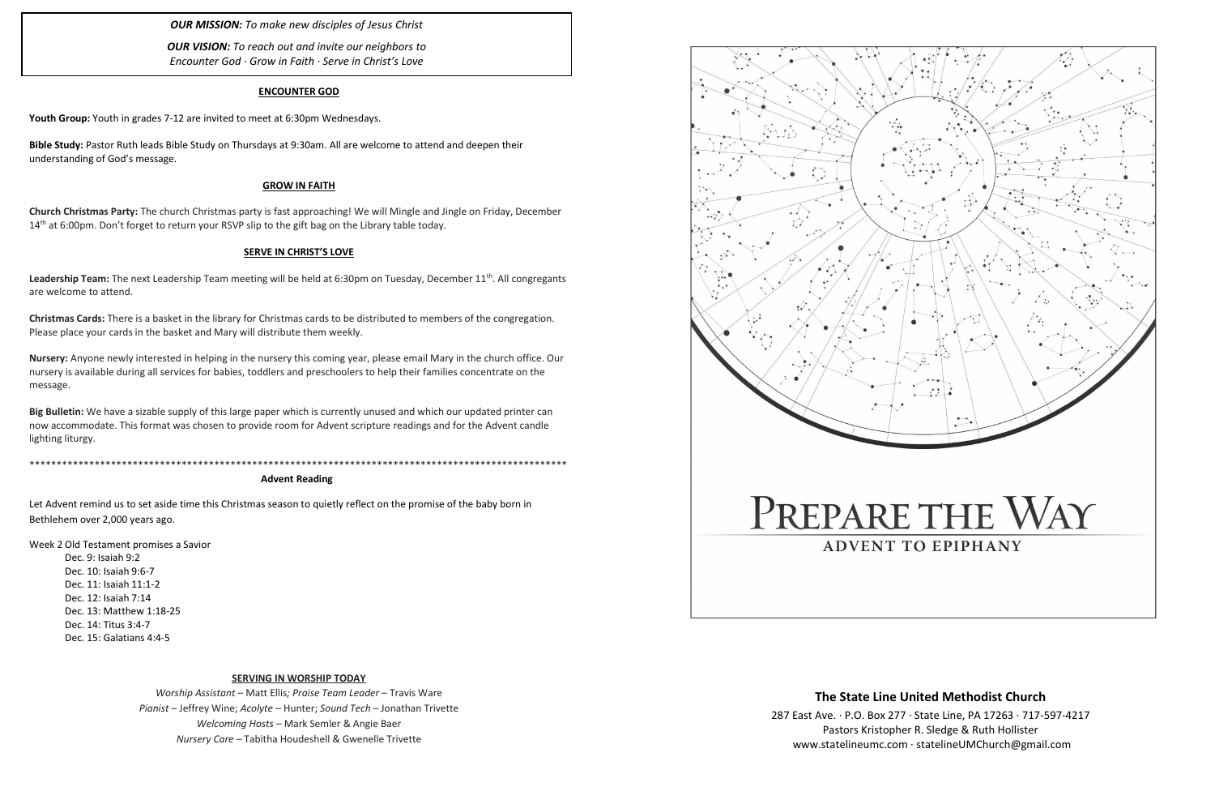#### **ENCOUNTER GOD**

**Youth Group:** Youth in grades 7-12 are invited to meet at 6:30pm Wednesdays.

**Church Christmas Party:** The church Christmas party is fast approaching! We will Mingle and Jingle on Friday, December 14<sup>th</sup> at 6:00pm. Don't forget to return your RSVP slip to the gift bag on the Library table today.

**Bible Study:** Pastor Ruth leads Bible Study on Thursdays at 9:30am. All are welcome to attend and deepen their understanding of God's message.

#### **GROW IN FAITH**

Leadership Team: The next Leadership Team meeting will be held at 6:30pm on Tuesday, December 11<sup>th</sup>. All congregants are welcome to attend.

#### **SERVE IN CHRIST'S LOVE**

**Christmas Cards:** There is a basket in the library for Christmas cards to be distributed to members of the congregation. Please place your cards in the basket and Mary will distribute them weekly.

**Nursery:** Anyone newly interested in helping in the nursery this coming year, please email Mary in the church office. Our nursery is available during all services for babies, toddlers and preschoolers to help their families concentrate on the message.

**Big Bulletin:** We have a sizable supply of this large paper which is currently unused and which our updated printer can now accommodate. This format was chosen to provide room for Advent scripture readings and for the Advent candle lighting liturgy.

\*\*\*\*\*\*\*\*\*\*\*\*\*\*\*\*\*\*\*\*\*\*\*\*\*\*\*\*\*\*\*\*\*\*\*\*\*\*\*\*\*\*\*\*\*\*\*\*\*\*\*\*\*\*\*\*\*\*\*\*\*\*\*\*\*\*\*\*\*\*\*\*\*\*\*\*\*\*\*\*\*\*\*\*\*\*\*\*\*\*\*\*\*\*\*\*\*\*\*

**Advent Reading**

Let Advent remind us to set aside time this Christmas season to quietly reflect on the promise of the baby born in Bethlehem over 2,000 years ago.

Week 2 Old Testament promises a Savior Dec. 9: Isaiah 9:2 Dec. 10: Isaiah 9:6-7 Dec. 11: Isaiah 11:1-2 Dec. 12: Isaiah 7:14 Dec. 13: Matthew 1:18-25 Dec. 14: Titus 3:4-7 Dec. 15: Galatians 4:4-5

#### **SERVING IN WORSHIP TODAY**

*Worship Assistant* – Matt Ellis*; Praise Team Leader* – Travis Ware *Pianist* – Jeffrey Wine; *Acolyte* – Hunter; *Sound Tech* – Jonathan Trivette *Welcoming Hosts* – Mark Semler & Angie Baer *Nursery Care* – Tabitha Houdeshell & Gwenelle Trivette



*OUR MISSION: To make new disciples of Jesus Christ*

*OUR VISION: To reach out and invite our neighbors to Encounter God · Grow in Faith · Serve in Christ's Love*

# **The State Line United Methodist Church**

287 East Ave. · P.O. Box 277 · State Line, PA 17263 · 717-597-4217 Pastors Kristopher R. Sledge & Ruth Hollister [www.statelineumc.com](http://www.statelineumc.com/) · statelineUMChurch@gmail.com